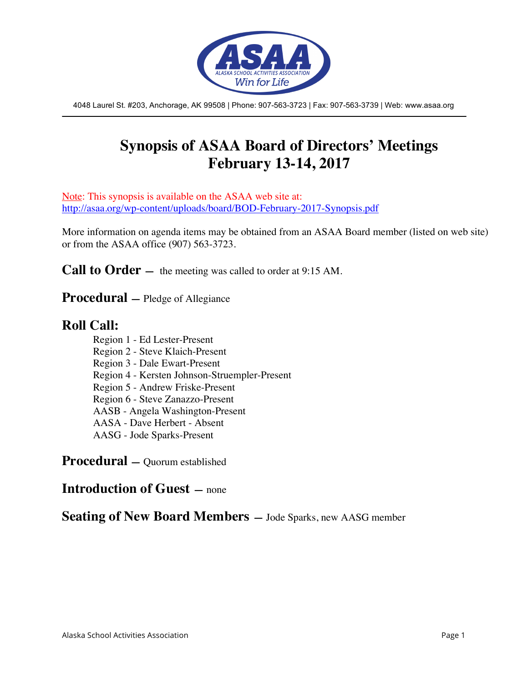

4048 Laurel St. #203, Anchorage, AK 99508 | Phone: 907-563-3723 | Fax: 907-563-3739 | Web: www.asaa.org

# **Synopsis of ASAA Board of Directors' Meetings February 13-14, 2017**

Note: This synopsis is available on the ASAA web site at: http://asaa.org/wp-content/uploads/board/BOD-February-2017-Synopsis.pdf

More information on agenda items may be obtained from an ASAA Board member (listed on web site) or from the ASAA office (907) 563-3723.

**Call to Order** — the meeting was called to order at 9:15 AM.

**Procedural —** Pledge of Allegiance

## **Roll Call:**

Region 1 - Ed Lester-Present Region 2 - Steve Klaich-Present Region 3 - Dale Ewart-Present Region 4 - Kersten Johnson-Struempler-Present Region 5 - Andrew Friske-Present Region 6 - Steve Zanazzo-Present AASB - Angela Washington-Present AASA - Dave Herbert - Absent AASG - Jode Sparks-Present

**Procedural —** Quorum established

## **Introduction of Guest —** none

**Seating of New Board Members —** Jode Sparks, new AASG member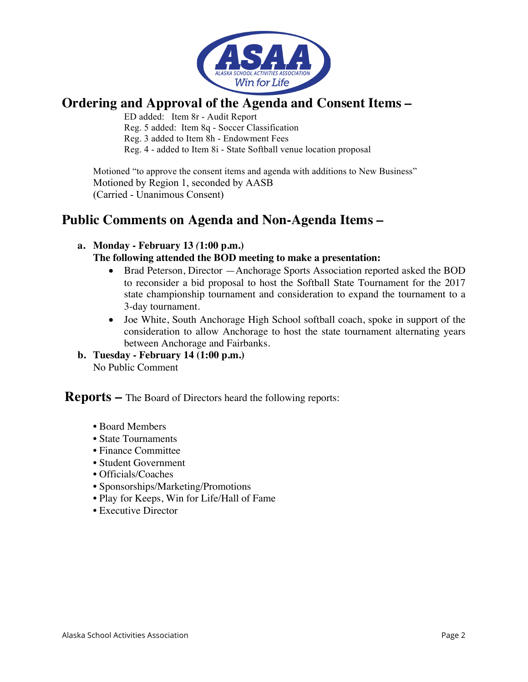

## **Ordering and Approval of the Agenda and Consent Items –**

ED added: Item 8r - Audit Report Reg. 5 added: Item 8q - Soccer Classification Reg. 3 added to Item 8h - Endowment Fees Reg. 4 - added to Item 8i - State Softball venue location proposal

Motioned "to approve the consent items and agenda with additions to New Business" Motioned by Region 1, seconded by AASB (Carried - Unanimous Consent)

## **Public Comments on Agenda and Non-Agenda Items –**

## **a. Monday - February 13** *(***1:00 p.m.)**

#### **The following attended the BOD meeting to make a presentation:**

- Brad Peterson, Director Anchorage Sports Association reported asked the BOD to reconsider a bid proposal to host the Softball State Tournament for the 2017 state championship tournament and consideration to expand the tournament to a 3-day tournament.
- Joe White, South Anchorage High School softball coach, spoke in support of the consideration to allow Anchorage to host the state tournament alternating years between Anchorage and Fairbanks.

#### **b. Tuesday - February 14 (1:00 p.m.)** No Public Comment

**Reports –** The Board of Directors heard the following reports:

- Board Members
- State Tournaments
- Finance Committee
- Student Government
- Officials/Coaches
- Sponsorships/Marketing/Promotions
- Play for Keeps, Win for Life/Hall of Fame
- Executive Director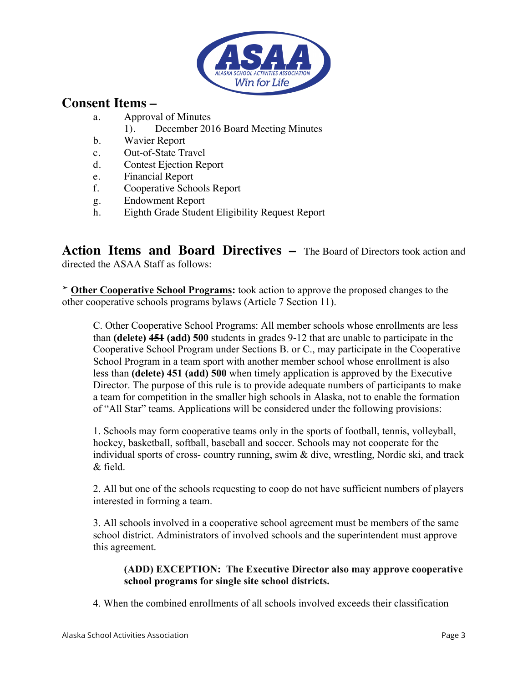

## **Consent Items –**

- a. Approval of Minutes
	- 1). December 2016 Board Meeting Minutes
- b. Wavier Report
- c. Out-of-State Travel
- d. Contest Ejection Report
- e. Financial Report
- f. Cooperative Schools Report
- g. Endowment Report
- h. Eighth Grade Student Eligibility Request Report

**Action Items and Board Directives –** The Board of Directors took action and directed the ASAA Staff as follows:

➣ **Other Cooperative School Programs:** took action to approve the proposed changes to the other cooperative schools programs bylaws (Article 7 Section 11).

C. Other Cooperative School Programs: All member schools whose enrollments are less than **(delete) 451 (add) 500** students in grades 9-12 that are unable to participate in the Cooperative School Program under Sections B. or C., may participate in the Cooperative School Program in a team sport with another member school whose enrollment is also less than **(delete) 451 (add) 500** when timely application is approved by the Executive Director. The purpose of this rule is to provide adequate numbers of participants to make a team for competition in the smaller high schools in Alaska, not to enable the formation of "All Star" teams. Applications will be considered under the following provisions:

1. Schools may form cooperative teams only in the sports of football, tennis, volleyball, hockey, basketball, softball, baseball and soccer. Schools may not cooperate for the individual sports of cross- country running, swim & dive, wrestling, Nordic ski, and track  $&$  field.

2. All but one of the schools requesting to coop do not have sufficient numbers of players interested in forming a team.

3. All schools involved in a cooperative school agreement must be members of the same school district. Administrators of involved schools and the superintendent must approve this agreement.

## **(ADD) EXCEPTION: The Executive Director also may approve cooperative school programs for single site school districts.**

4. When the combined enrollments of all schools involved exceeds their classification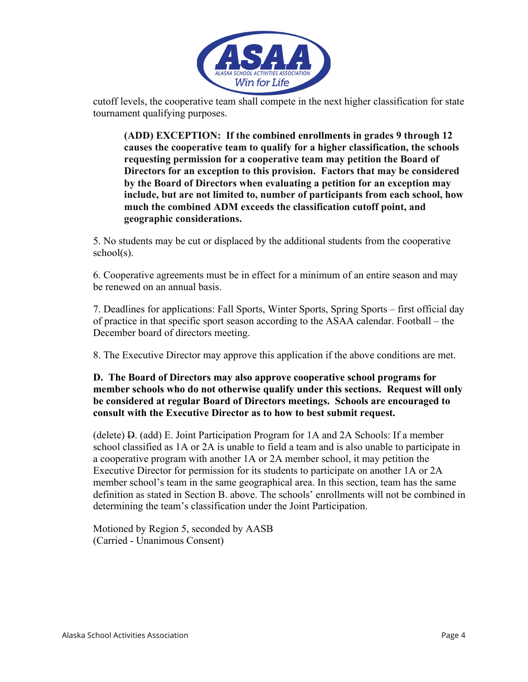

cutoff levels, the cooperative team shall compete in the next higher classification for state tournament qualifying purposes.

**(ADD) EXCEPTION: If the combined enrollments in grades 9 through 12 causes the cooperative team to qualify for a higher classification, the schools requesting permission for a cooperative team may petition the Board of Directors for an exception to this provision. Factors that may be considered by the Board of Directors when evaluating a petition for an exception may include, but are not limited to, number of participants from each school, how much the combined ADM exceeds the classification cutoff point, and geographic considerations.** 

5. No students may be cut or displaced by the additional students from the cooperative school(s).

6. Cooperative agreements must be in effect for a minimum of an entire season and may be renewed on an annual basis.

7. Deadlines for applications: Fall Sports, Winter Sports, Spring Sports – first official day of practice in that specific sport season according to the ASAA calendar. Football – the December board of directors meeting.

8. The Executive Director may approve this application if the above conditions are met.

#### **D. The Board of Directors may also approve cooperative school programs for member schools who do not otherwise qualify under this sections. Request will only be considered at regular Board of Directors meetings. Schools are encouraged to consult with the Executive Director as to how to best submit request.**

(delete) D. (add) E. Joint Participation Program for 1A and 2A Schools: If a member school classified as 1A or 2A is unable to field a team and is also unable to participate in a cooperative program with another 1A or 2A member school, it may petition the Executive Director for permission for its students to participate on another 1A or 2A member school's team in the same geographical area. In this section, team has the same definition as stated in Section B. above. The schools' enrollments will not be combined in determining the team's classification under the Joint Participation.

Motioned by Region 5, seconded by AASB (Carried - Unanimous Consent)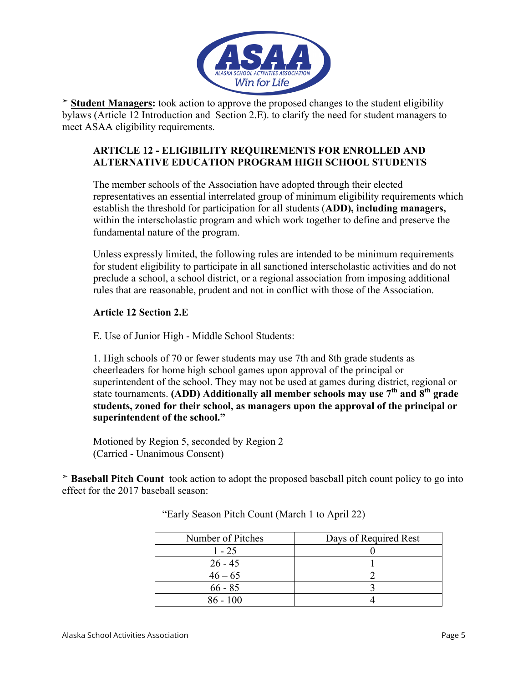

➣ **Student Managers:** took action to approve the proposed changes to the student eligibility bylaws (Article 12 Introduction and Section 2.E). to clarify the need for student managers to meet ASAA eligibility requirements.

## **ARTICLE 12 - ELIGIBILITY REQUIREMENTS FOR ENROLLED AND ALTERNATIVE EDUCATION PROGRAM HIGH SCHOOL STUDENTS**

The member schools of the Association have adopted through their elected representatives an essential interrelated group of minimum eligibility requirements which establish the threshold for participation for all students (**ADD), including managers,** within the interscholastic program and which work together to define and preserve the fundamental nature of the program.

Unless expressly limited, the following rules are intended to be minimum requirements for student eligibility to participate in all sanctioned interscholastic activities and do not preclude a school, a school district, or a regional association from imposing additional rules that are reasonable, prudent and not in conflict with those of the Association.

## **Article 12 Section 2.E**

E. Use of Junior High - Middle School Students:

1. High schools of 70 or fewer students may use 7th and 8th grade students as cheerleaders for home high school games upon approval of the principal or superintendent of the school. They may not be used at games during district, regional or state tournaments. **(ADD) Additionally all member schools may use 7th and 8th grade students, zoned for their school, as managers upon the approval of the principal or superintendent of the school."**

Motioned by Region 5, seconded by Region 2 (Carried - Unanimous Consent)

➣ **Baseball Pitch Count** took action to adopt the proposed baseball pitch count policy to go into effect for the 2017 baseball season:

| Number of Pitches | Days of Required Rest |
|-------------------|-----------------------|
| $1 - 25$          |                       |
| $26 - 45$         |                       |
| $46 - 65$         |                       |
| $66 - 85$         |                       |
| $86 - 100$        |                       |

"Early Season Pitch Count (March 1 to April 22)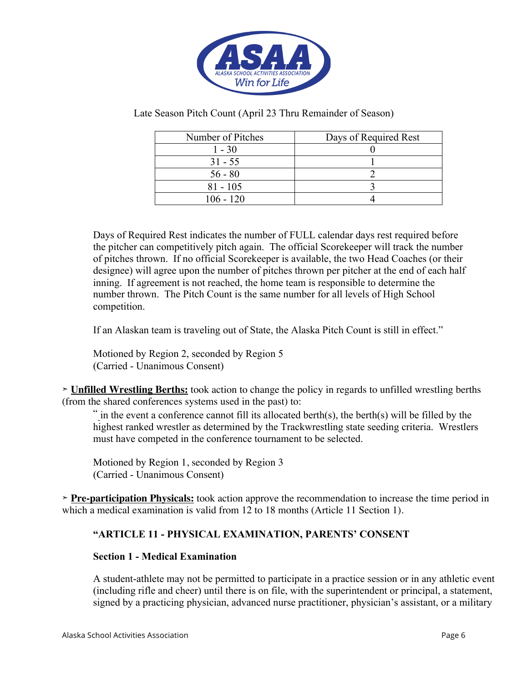

Late Season Pitch Count (April 23 Thru Remainder of Season)

| Number of Pitches | Days of Required Rest |
|-------------------|-----------------------|
| $1 - 30$          |                       |
| $31 - 55$         |                       |
| $56 - 80$         |                       |
| $81 - 105$        |                       |
| $106 - 120$       |                       |

Days of Required Rest indicates the number of FULL calendar days rest required before the pitcher can competitively pitch again. The official Scorekeeper will track the number of pitches thrown. If no official Scorekeeper is available, the two Head Coaches (or their designee) will agree upon the number of pitches thrown per pitcher at the end of each half inning. If agreement is not reached, the home team is responsible to determine the number thrown. The Pitch Count is the same number for all levels of High School competition.

If an Alaskan team is traveling out of State, the Alaska Pitch Count is still in effect."

Motioned by Region 2, seconded by Region 5 (Carried - Unanimous Consent)

➣ **Unfilled Wrestling Berths:** took action to change the policy in regards to unfilled wrestling berths (from the shared conferences systems used in the past) to:

" in the event a conference cannot fill its allocated berth(s), the berth(s) will be filled by the highest ranked wrestler as determined by the Trackwrestling state seeding criteria. Wrestlers must have competed in the conference tournament to be selected.

Motioned by Region 1, seconded by Region 3 (Carried - Unanimous Consent)

➣ **Pre-participation Physicals:** took action approve the recommendation to increase the time period in which a medical examination is valid from 12 to 18 months (Article 11 Section 1).

## **"ARTICLE 11 - PHYSICAL EXAMINATION, PARENTS' CONSENT**

#### **Section 1 - Medical Examination**

A student-athlete may not be permitted to participate in a practice session or in any athletic event (including rifle and cheer) until there is on file, with the superintendent or principal, a statement, signed by a practicing physician, advanced nurse practitioner, physician's assistant, or a military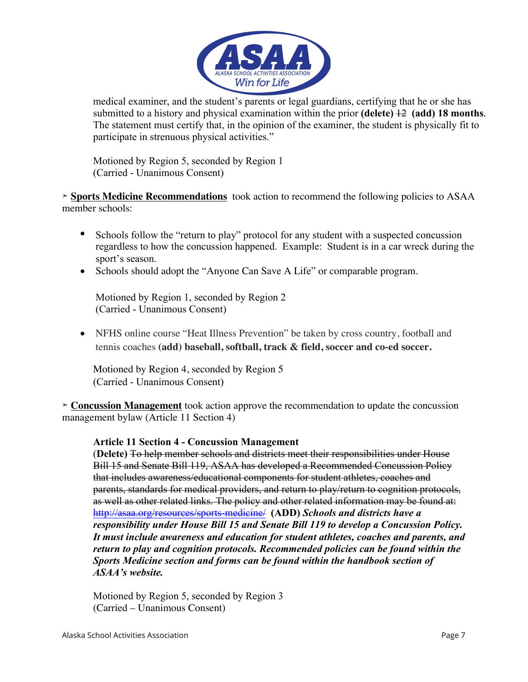

medical examiner, and the student's parents or legal guardians, certifying that he or she has submitted to a history and physical examination within the prior **(delete)** 12 **(add) 18 months**. The statement must certify that, in the opinion of the examiner, the student is physically fit to participate in strenuous physical activities."

Motioned by Region 5, seconded by Region 1 (Carried - Unanimous Consent)

➣ **Sports Medicine Recommendations** took action to recommend the following policies to ASAA member schools:

- Schools follow the "return to play" protocol for any student with a suspected concussion regardless to how the concussion happened. Example: Student is in a car wreck during the sport's season.
- Schools should adopt the "Anyone Can Save A Life" or comparable program.

Motioned by Region 1, seconded by Region 2 (Carried - Unanimous Consent)

• NFHS online course "Heat Illness Prevention" be taken by cross country, football and tennis coaches **(add) baseball, softball, track & field, soccer and co-ed soccer.**

Motioned by Region 4, seconded by Region 5 (Carried - Unanimous Consent)

➣ **Concussion Management** took action approve the recommendation to update the concussion management bylaw (Article 11 Section 4)

## **Article 11 Section 4 - Concussion Management**

(**Delete)** To help member schools and districts meet their responsibilities under House Bill 15 and Senate Bill 119, ASAA has developed a Recommended Concussion Policy that includes awareness/educational components for student athletes, coaches and parents, standards for medical providers, and return to play/return to cognition protocols, as well as other related links. The policy and other related information may be found at: http://asaa.org/resources/sports-medicine/ **(ADD)** *Schools and districts have a responsibility under House Bill 15 and Senate Bill 119 to develop a Concussion Policy. It must include awareness and education for student athletes, coaches and parents, and return to play and cognition protocols. Recommended policies can be found within the Sports Medicine section and forms can be found within the handbook section of ASAA's website.* 

Motioned by Region 5, seconded by Region 3 (Carried – Unanimous Consent)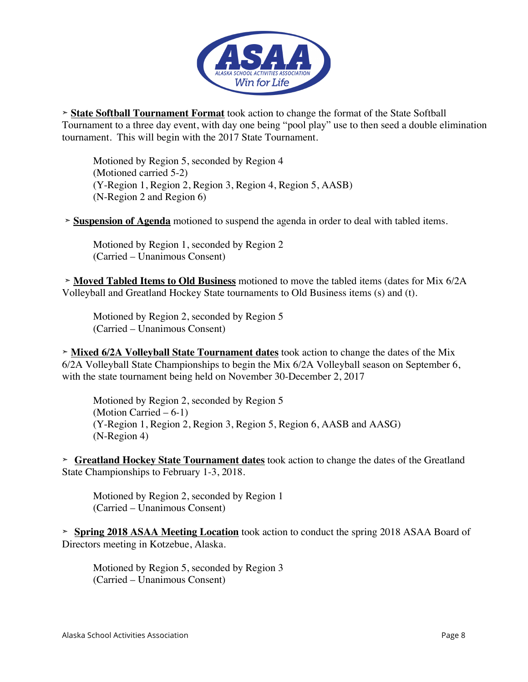

➣ **State Softball Tournament Format** took action to change the format of the State Softball Tournament to a three day event, with day one being "pool play" use to then seed a double elimination tournament. This will begin with the 2017 State Tournament.

Motioned by Region 5, seconded by Region 4 (Motioned carried 5-2) (Y-Region 1, Region 2, Region 3, Region 4, Region 5, AASB) (N-Region 2 and Region 6)

➣ **Suspension of Agenda** motioned to suspend the agenda in order to deal with tabled items.

Motioned by Region 1, seconded by Region 2 (Carried – Unanimous Consent)

➣ **Moved Tabled Items to Old Business** motioned to move the tabled items (dates for Mix 6/2A Volleyball and Greatland Hockey State tournaments to Old Business items (s) and (t).

Motioned by Region 2, seconded by Region 5 (Carried – Unanimous Consent)

➣ **Mixed 6/2A Volleyball State Tournament dates** took action to change the dates of the Mix 6/2A Volleyball State Championships to begin the Mix 6/2A Volleyball season on September 6, with the state tournament being held on November 30-December 2, 2017

Motioned by Region 2, seconded by Region 5 (Motion Carried  $-6-1$ ) (Y-Region 1, Region 2, Region 3, Region 5, Region 6, AASB and AASG) (N-Region 4)

➣ **Greatland Hockey State Tournament dates** took action to change the dates of the Greatland State Championships to February 1-3, 2018.

Motioned by Region 2, seconded by Region 1 (Carried – Unanimous Consent)

➣ **Spring 2018 ASAA Meeting Location** took action to conduct the spring 2018 ASAA Board of Directors meeting in Kotzebue, Alaska.

Motioned by Region 5, seconded by Region 3 (Carried – Unanimous Consent)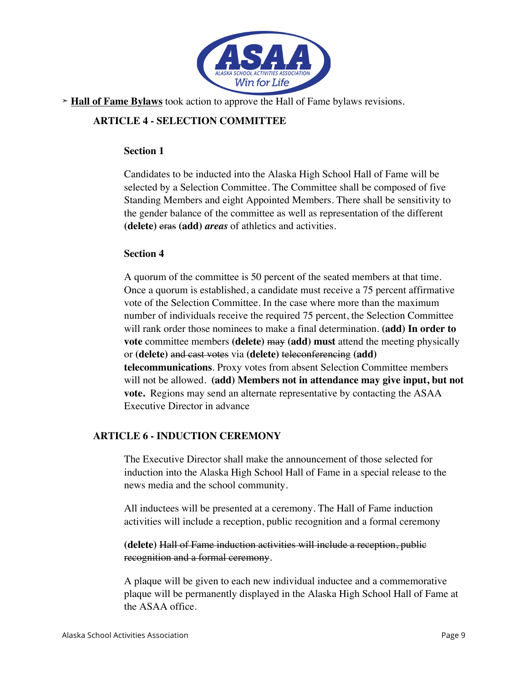

➣ **Hall of Fame Bylaws** took action to approve the Hall of Fame bylaws revisions.

## **ARTICLE 4 - SELECTION COMMITTEE**

#### **Section 1**

Candidates to be inducted into the Alaska High School Hall of Fame will be selected by a Selection Committee. The Committee shall be composed of five Standing Members and eight Appointed Members. There shall be sensitivity to the gender balance of the committee as well as representation of the different **(delete)** eras **(add)** *areas* of athletics and activities.

## **Section 4**

A quorum of the committee is 50 percent of the seated members at that time. Once a quorum is established, a candidate must receive a 75 percent affirmative vote of the Selection Committee. In the case where more than the maximum number of individuals receive the required 75 percent, the Selection Committee will rank order those nominees to make a final determination. **(add) In order to vote** committee members **(delete)** may **(add) must** attend the meeting physically or **(delete)** and cast votes via **(delete)** teleconferencing **(add) telecommunications**. Proxy votes from absent Selection Committee members will not be allowed. **(add) Members not in attendance may give input, but not vote.** Regions may send an alternate representative by contacting the ASAA Executive Director in advance

## **ARTICLE 6 - INDUCTION CEREMONY**

The Executive Director shall make the announcement of those selected for induction into the Alaska High School Hall of Fame in a special release to the news media and the school community.

All inductees will be presented at a ceremony. The Hall of Fame induction activities will include a reception, public recognition and a formal ceremony

**(delete)** Hall of Fame induction activities will include a reception, public recognition and a formal ceremony.

A plaque will be given to each new individual inductee and a commemorative plaque will be permanently displayed in the Alaska High School Hall of Fame at the ASAA office.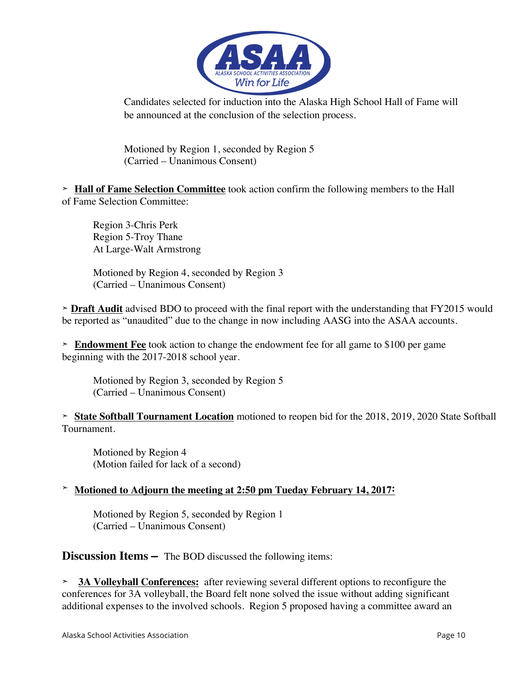

Candidates selected for induction into the Alaska High School Hall of Fame will be announced at the conclusion of the selection process.

Motioned by Region 1, seconded by Region 5 (Carried – Unanimous Consent)

➣ **Hall of Fame Selection Committee** took action confirm the following members to the Hall of Fame Selection Committee:

Region 3-Chris Perk Region 5-Troy Thane At Large-Walt Armstrong

Motioned by Region 4, seconded by Region 3 (Carried – Unanimous Consent)

➣ **Draft Audit** advised BDO to proceed with the final report with the understanding that FY2015 would be reported as "unaudited" due to the change in now including AASG into the ASAA accounts.

➣ **Endowment Fee** took action to change the endowment fee for all game to \$100 per game beginning with the 2017-2018 school year.

Motioned by Region 3, seconded by Region 5 (Carried – Unanimous Consent)

➣ **State Softball Tournament Location** motioned to reopen bid for the 2018, 2019, 2020 State Softball Tournament.

Motioned by Region 4 (Motion failed for lack of a second)

## ➣ **Motioned to Adjourn the meeting at 2:50 pm Tueday February 14, 2017:**

Motioned by Region 5, seconded by Region 1 (Carried – Unanimous Consent)

**Discussion Items –** The BOD discussed the following items:

➣ **3A Volleyball Conferences:** after reviewing several different options to reconfigure the conferences for 3A volleyball, the Board felt none solved the issue without adding significant additional expenses to the involved schools. Region 5 proposed having a committee award an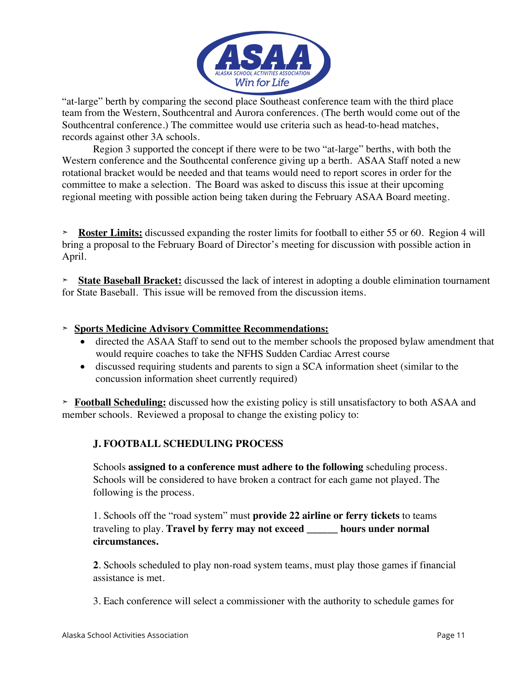

"at-large" berth by comparing the second place Southeast conference team with the third place team from the Western, Southcentral and Aurora conferences. (The berth would come out of the Southcentral conference.) The committee would use criteria such as head-to-head matches, records against other 3A schools.

Region 3 supported the concept if there were to be two "at-large" berths, with both the Western conference and the Southcental conference giving up a berth. ASAA Staff noted a new rotational bracket would be needed and that teams would need to report scores in order for the committee to make a selection. The Board was asked to discuss this issue at their upcoming regional meeting with possible action being taken during the February ASAA Board meeting.

➣ **Roster Limits:** discussed expanding the roster limits for football to either 55 or 60. Region 4 will bring a proposal to the February Board of Director's meeting for discussion with possible action in April.

➣ **State Baseball Bracket:** discussed the lack of interest in adopting a double elimination tournament for State Baseball. This issue will be removed from the discussion items.

## ➣ **Sports Medicine Advisory Committee Recommendations:**

- directed the ASAA Staff to send out to the member schools the proposed bylaw amendment that would require coaches to take the NFHS Sudden Cardiac Arrest course
- discussed requiring students and parents to sign a SCA information sheet (similar to the concussion information sheet currently required)

➣ **Football Scheduling:** discussed how the existing policy is still unsatisfactory to both ASAA and member schools. Reviewed a proposal to change the existing policy to:

## **J. FOOTBALL SCHEDULING PROCESS**

Schools **assigned to a conference must adhere to the following** scheduling process. Schools will be considered to have broken a contract for each game not played. The following is the process.

1. Schools off the "road system" must **provide 22 airline or ferry tickets** to teams traveling to play. **Travel by ferry may not exceed \_\_\_\_\_\_ hours under normal circumstances.**

**2**. Schools scheduled to play non-road system teams, must play those games if financial assistance is met.

3. Each conference will select a commissioner with the authority to schedule games for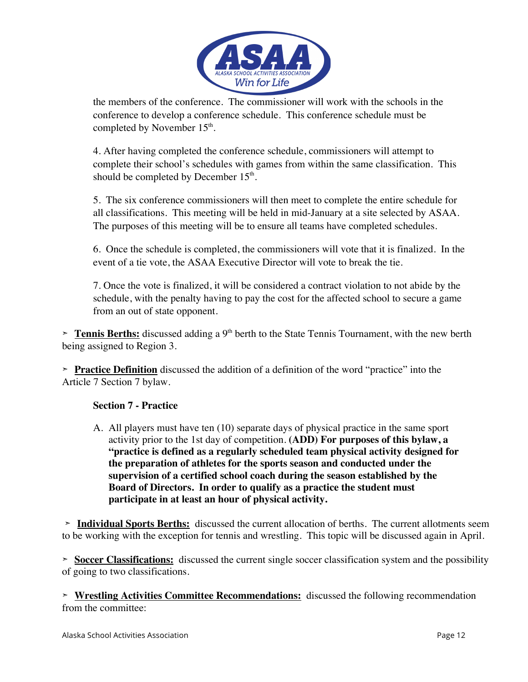

the members of the conference. The commissioner will work with the schools in the conference to develop a conference schedule. This conference schedule must be completed by November 15<sup>th</sup>.

4. After having completed the conference schedule, commissioners will attempt to complete their school's schedules with games from within the same classification. This should be completed by December  $15<sup>th</sup>$ .

5. The six conference commissioners will then meet to complete the entire schedule for all classifications. This meeting will be held in mid-January at a site selected by ASAA. The purposes of this meeting will be to ensure all teams have completed schedules.

6. Once the schedule is completed, the commissioners will vote that it is finalized. In the event of a tie vote, the ASAA Executive Director will vote to break the tie.

7. Once the vote is finalized, it will be considered a contract violation to not abide by the schedule, with the penalty having to pay the cost for the affected school to secure a game from an out of state opponent.

**Tennis Berths:** discussed adding a 9<sup>th</sup> berth to the State Tennis Tournament, with the new berth being assigned to Region 3.

➣ **Practice Definition** discussed the addition of a definition of the word "practice" into the Article 7 Section 7 bylaw.

## **Section 7 - Practice**

A. All players must have ten (10) separate days of physical practice in the same sport activity prior to the 1st day of competition. **(ADD) For purposes of this bylaw, a "practice is defined as a regularly scheduled team physical activity designed for the preparation of athletes for the sports season and conducted under the supervision of a certified school coach during the season established by the Board of Directors. In order to qualify as a practice the student must participate in at least an hour of physical activity.**

➣ **Individual Sports Berths:** discussed the current allocation of berths. The current allotments seem to be working with the exception for tennis and wrestling. This topic will be discussed again in April.

➣ **Soccer Classifications:** discussed the current single soccer classification system and the possibility of going to two classifications.

➣ **Wrestling Activities Committee Recommendations:** discussed the following recommendation from the committee: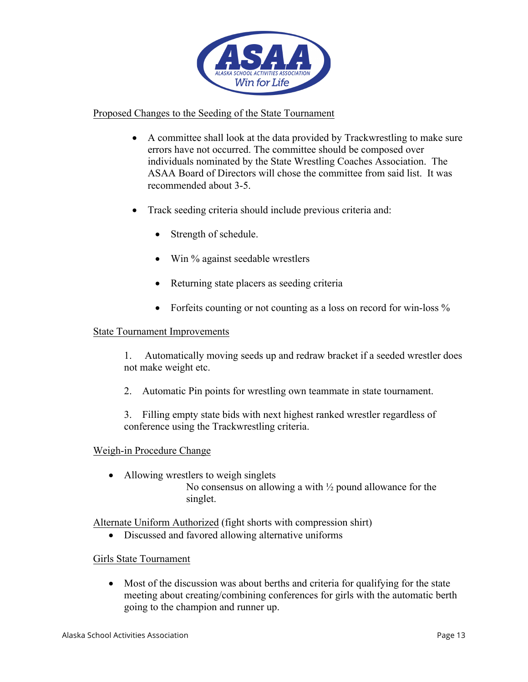

#### Proposed Changes to the Seeding of the State Tournament

- A committee shall look at the data provided by Trackwrestling to make sure errors have not occurred. The committee should be composed over individuals nominated by the State Wrestling Coaches Association. The ASAA Board of Directors will chose the committee from said list. It was recommended about 3-5.
- Track seeding criteria should include previous criteria and:
	- Strength of schedule.
	- Win % against seedable wrestlers
	- Returning state placers as seeding criteria
	- Forfeits counting or not counting as a loss on record for win-loss %

#### State Tournament Improvements

1. Automatically moving seeds up and redraw bracket if a seeded wrestler does not make weight etc.

2. Automatic Pin points for wrestling own teammate in state tournament.

3. Filling empty state bids with next highest ranked wrestler regardless of conference using the Trackwrestling criteria.

#### Weigh-in Procedure Change

• Allowing wrestlers to weigh singlets No consensus on allowing a with  $\frac{1}{2}$  pound allowance for the singlet.

Alternate Uniform Authorized (fight shorts with compression shirt)

• Discussed and favored allowing alternative uniforms

#### Girls State Tournament

• Most of the discussion was about berths and criteria for qualifying for the state meeting about creating/combining conferences for girls with the automatic berth going to the champion and runner up.